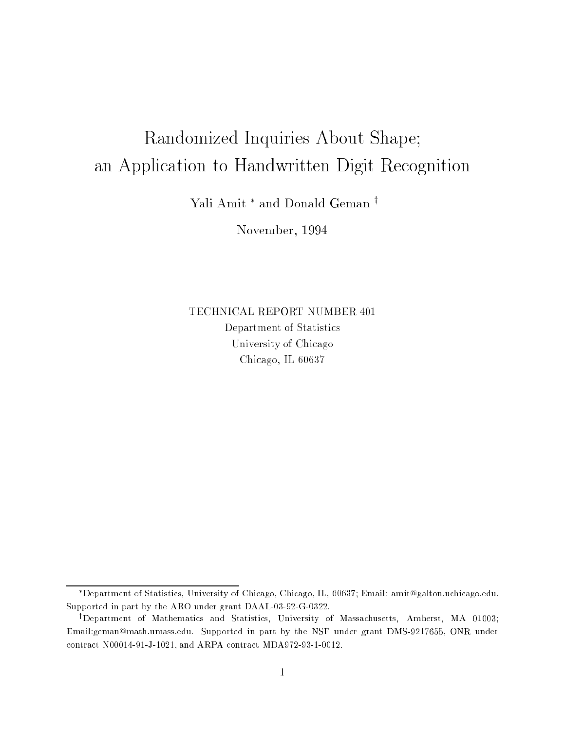# Randomized Inquiries About Shape; an Application to Handwritten Digit Recognition

Yali Amit \* and Donald Geman †

November, 1994

TECHNICAL REPORT NUMBER 401 Department of Statistics University of Chicago Chicago, IL 60637

Department of Statistics, University of Chicago, Chicago, IL, 60637; Email: amit@galton.uchicago.edu. Supported in part by the ARO under grant DAAL-03-92-G-0322.

<sup>&</sup>lt;sup>†</sup>Department of Mathematics and Statistics, University of Massachusetts, Amherst, MA 01003; Email:geman@math.umass.edu. Supported in part by the NSF under grant DMS-9217655, ONR under contract N00014-91-J-1021, and ARPA contract MDA972-93-1-0012.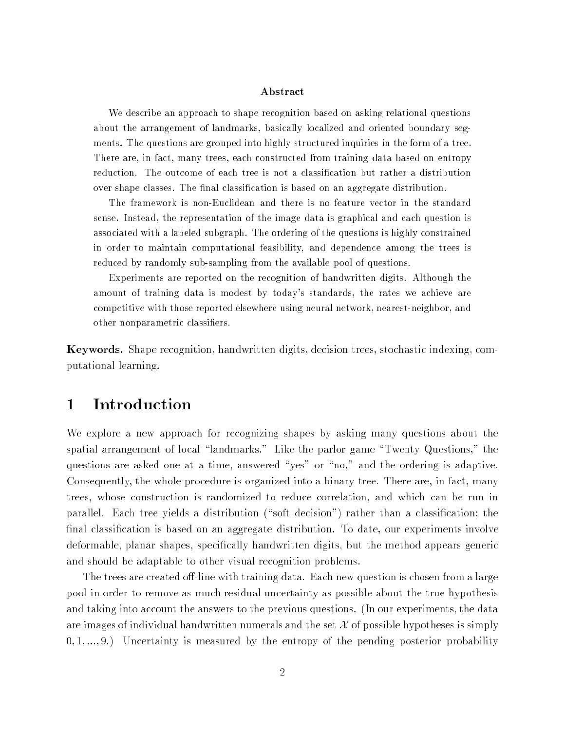#### Abstract

We describe an approach to shape recognition based on asking relational questions about the arrangement of landmarks, basically localized and oriented boundary segments. The questions are grouped into highly structured inquiries in the form of a tree. There are, in fact, many trees, each constructed from training data based on entropy reduction. The outcome of each tree is not a classication but rather a distribution over shape classes. The final classification is based on an aggregate distribution.

The framework is non-Euclidean and there is no feature vector in the standard sense. Instead, the representation of the image data is graphical and each question is associated with a labeled subgraph. The ordering of the questions is highly constrained in order to maintain computational feasibility, and dependence among the trees is reduced by randomly sub-sampling from the available pool of questions.

Experiments are reported on the recognition of handwritten digits. Although the amount of training data is modest by today's standards, the rates we achieve are competitive with those reported elsewhere using neural network, nearest-neighbor, and other nonparametric classiers.

Keywords. Shape recognition, handwritten digits, decision trees, stochastic indexing, computational learning.

# Introduction

We explore a new approach for recognizing shapes by asking many questions about the spatial arrangement of local "landmarks." Like the parlor game "Twenty Questions," the questions are asked one at a time, answered "yes" or "no," and the ordering is adaptive. Consequently, the whole procedure is organized into a binary tree. There are, in fact, many trees, whose construction is randomized to reduce correlation, and which can be run in parallel. Each tree yields a distribution ("soft decision") rather than a classification; the final classification is based on an aggregate distribution. To date, our experiments involve deformable, planar shapes, specically handwritten digits, but the method appears generic and should be adaptable to other visual recognition problems.

The trees are created off-line with training data. Each new question is chosen from a large pool in order to remove as much residual uncertainty as possible about the true hypothesis and taking into account the answers to the previous questions. (In our experiments, the data are images of individual handwritten numerals and the set  $\mathcal X$  of possible hypotheses is simply  $(0, 1, \ldots, 9)$  Uncertainty is measured by the entropy of the pending posterior probability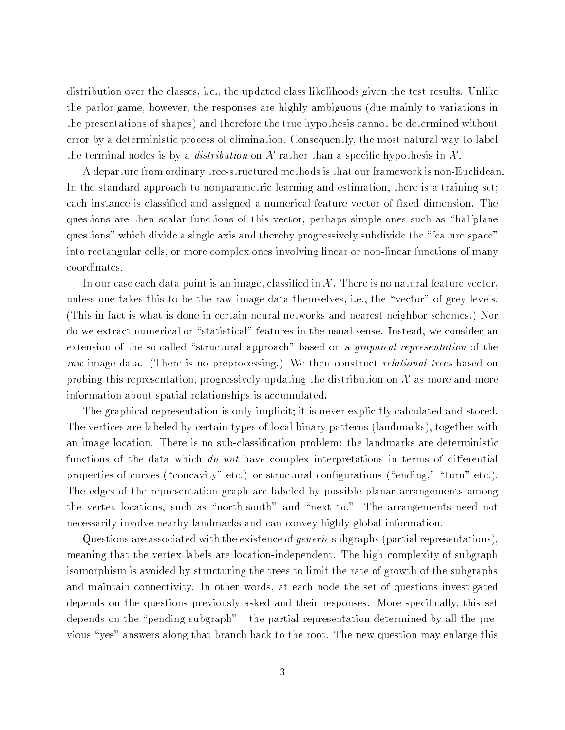distribution over the classes, i.e., the updated class likelihoods given the test results. Unlike the parlor game, however, the responses are highly ambiguous (due mainly to variations in the presentations of shapes) and therefore the true hypothesis cannot be determined without error by a deterministic process of elimination. Consequently, the most natural way to label the terminal nodes is by a *distribution* on X rather than a specific hypothesis in X.

A departure from ordinary tree-structured methods is that our framework is non-Euclidean. In the standard approach to nonparametric learning and estimation, there is a training set; each instance is classified and assigned a numerical feature vector of fixed dimension. The questions are then scalar functions of this vector, perhaps simple ones such as "halfplane questions" which divide a single axis and thereby progressively subdivide the \feature space" into rectangular cells, or more complex ones involving linear or non-linear functions of many coordinates.

In our case each data point is an image, classified in  $\mathcal X$  . There is no natural feature vector, unless one takes this to be the raw image data themselves, i.e., the "vector" of grey levels. (This in fact is what is done in certain neural networks and nearest-neighbor schemes.) Nor do we extract numerical or "statistical" features in the usual sense. Instead, we consider an extension of the so-called "structural approach" based on a *graphical representation* of the raw image data. (There is no preprocessing.) We then construct relational trees based on probing this representation, progressively updating the distribution on  $\mathcal X$  as more and more information about spatial relationships is accumulated.

The graphical representation is only implicit; it is never explicitly calculated and stored. The vertices are labeled by certain types of local binary patterns (landmarks), together with an image location. There is no sub-classication problem: the landmarks are deterministic functions of the data which do not have complex interpretations in terms of differential properties of curves ("concavity" etc.) or structural configurations ("ending," "turn" etc.). The edges of the representation graph are labeled by possible planar arrangements among the vertex locations, such as "north-south" and "next to." The arrangements need not necessarily involve nearby landmarks and can convey highly global information.

Questions are associated with the existence of generic subgraphs (partial representations), meaning that the vertex labels are location-independent. The high complexity of subgraph isomorphism is avoided by structuring the trees to limit the rate of growth of the subgraphs and maintain connectivity. In other words, at each node the set of questions investigated depends on the questions previously asked and their responses. More specifically, this set depends on the "pending subgraph" - the partial representation determined by all the previous "yes" answers along that branch back to the root. The new question may enlarge this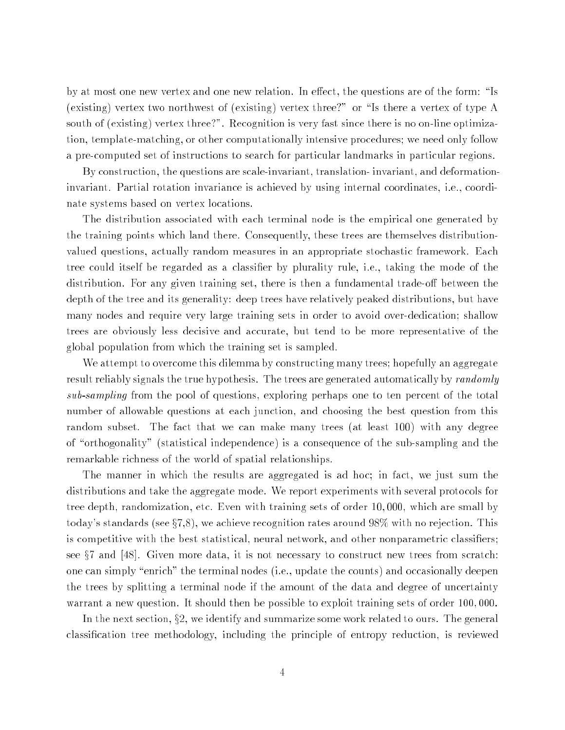by at most one new vertex and one new relation. In effect, the questions are of the form: "Is (existing) vertex two northwest of (existing) vertex three?" or "Is there a vertex of type A south of (existing) vertex three?". Recognition is very fast since there is no on-line optimization, template-matching, or other computationally intensive procedures; we need only follow a pre-computed set of instructions to search for particular landmarks in particular regions.

By construction, the questions are scale-invariant, translation- invariant, and deformationinvariant. Partial rotation invariance is achieved by using internal coordinates, i.e., coordinate systems based on vertex locations.

The distribution associated with each terminal node is the empirical one generated by the training points which land there. Consequently, these trees are themselves distributionvalued questions, actually random measures in an appropriate stochastic framework. Each tree could itself be regarded as a classifier by plurality rule, i.e., taking the mode of the distribution. For any given training set, there is then a fundamental trade-off between the depth of the tree and its generality: deep trees have relatively peaked distributions, but have many nodes and require very large training sets in order to avoid over-dedication; shallow trees are obviously less decisive and accurate, but tend to be more representative of the global population from which the training set is sampled.

We attempt to overcome this dilemma by constructing many trees; hopefully an aggregate result reliably signals the true hypothesis. The trees are generated automatically by *randomly* sub-sampling from the pool of questions, exploring perhaps one to ten percent of the total number of allowable questions at each junction, and choosing the best question from this random subset. The fact that we can make many trees (at least 100) with any degree of "orthogonality" (statistical independence) is a consequence of the sub-sampling and the remarkable richness of the world of spatial relationships.

The manner in which the results are aggregated is ad hoc; in fact, we just sum the distributions and take the aggregate mode. We report experiments with several protocols for tree depth, randomization, etc. Even with training sets of order 10; 000, which are small by today's standards (see  $\S7,8$ ), we achieve recognition rates around 98% with no rejection. This is competitive with the best statistical, neural network, and other nonparametric classifiers; see  $\S7$  and [48]. Given more data, it is not necessary to construct new trees from scratch: one can simply "enrich" the terminal nodes (i.e., update the counts) and occasionally deepen the trees by splitting a terminal node if the amount of the data and degree of uncertainty warrant a new question. It should then be possible to exploit training sets of order 100,000.

In the next section,  $\S 2$ , we identify and summarize some work related to ours. The general classication tree methodology, including the principle of entropy reduction, is reviewed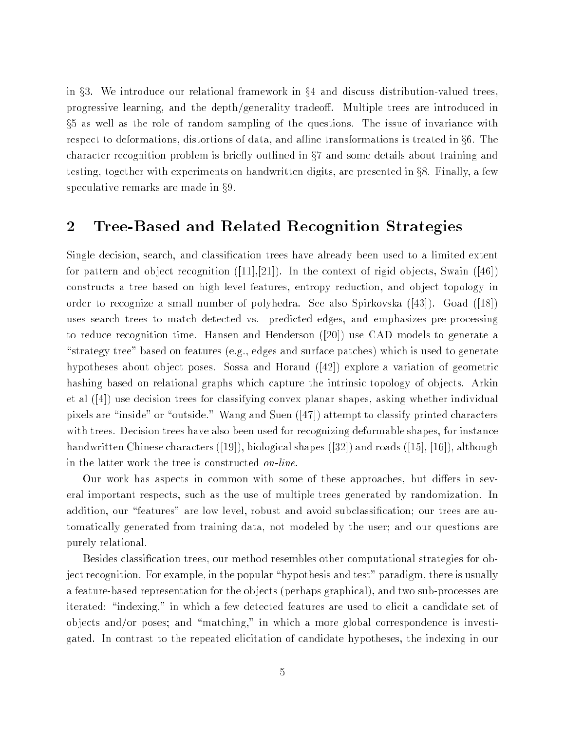in  $\S 3$ . We introduce our relational framework in  $\S 4$  and discuss distribution-valued trees, progressive learning, and the depth/generality tradeoff. Multiple trees are introduced in x5 as well as the role of random sampling of the questions. The issue of invariance with respect to deformations, distortions of data, and affine transformations is treated in  $\S6$ . The character recognition problem is briefly outlined in  $\S7$  and some details about training and testing, together with experiments on handwritten digits, are presented in  $\S 8$ . Finally, a few speculative remarks are made in  $\S 9$ .

#### 2Tree-Based and Related Recognition Strategies

Single decision, search, and classication trees have already been used to a limited extent for pattern and object recognition  $([11],[21])$ . In the context of rigid objects, Swain  $([46])$ constructs a tree based on high level features, entropy reduction, and ob ject topology in order to recognize a small number of polyhedra. See also Spirkovska ([43]). Goad ([18]) uses search trees to match detected vs. predicted edges, and emphasizes pre-processing to reduce recognition time. Hansen and Henderson ([20]) use CAD models to generate a "strategy tree" based on features (e.g., edges and surface patches) which is used to generate hypotheses about object poses. Sossa and Horaud ([42]) explore a variation of geometric hashing based on relational graphs which capture the intrinsic topology of objects. Arkin et al ([4]) use decision trees for classifying convex planar shapes, asking whether individual pixels are "inside" or "outside." Wang and Suen  $([47])$  attempt to classify printed characters with trees. Decision trees have also been used for recognizing deformable shapes, for instance handwritten Chinese characters ([19]), biological shapes ([32]) and roads ([15], [16]), although in the latter work the tree is constructed on-line.

Our work has aspects in common with some of these approaches, but differs in several important respects, such as the use of multiple trees generated by randomization. In addition, our "features" are low level, robust and avoid subclassification; our trees are automatically generated from training data, not modeled by the user; and our questions are purely relational.

Besides classication trees, our method resembles other computational strategies for object recognition. For example, in the popular \hypothesis and test" paradigm, there is usually a feature-based representation for the ob jects (perhaps graphical), and two sub-processes are iterated: \indexing," in which a few detected features are used to elicit a candidate set of ob jects and/or poses; and \matching," in which a more global correspondence is investigated. In contrast to the repeated elicitation of candidate hypotheses, the indexing in our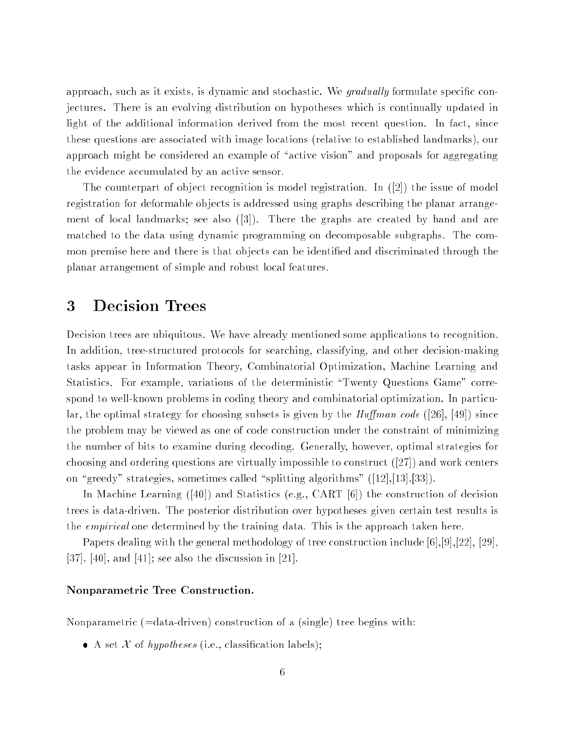approach, such as it exists, is dynamic and stochastic. We gradually formulate specific conjectures. There is an evolving distribution on hypotheses which is continually updated in light of the additional information derived from the most recent question. In fact, since these questions are associated with image locations (relative to established landmarks), our approach might be considered an example of "active vision" and proposals for aggregating the evidence accumulated by an active sensor.

The counterpart of object recognition is model registration. In  $(2)$  the issue of model registration for deformable objects is addressed using graphs describing the planar arrangement of local landmarks; see also  $(3)$ ). There the graphs are created by hand and are matched to the data using dynamic programming on decomposable subgraphs. The common premise here and there is that objects can be identified and discriminated through the planar arrangement of simple and robust local features.

#### 3Decision Trees

Decision trees are ubiquitous. We have already mentioned some applications to recognition. In addition, tree-structured protocols for searching, classifying, and other decision-making tasks appear in Information Theory, Combinatorial Optimization, Machine Learning and Statistics. For example, variations of the deterministic "Twenty Questions Game" correspond to well-known problems in coding theory and combinatorial optimization. In particular, the optimal strategy for choosing subsets is given by the  $\text{Huffman code } ([26], [49])$  since the problem may be viewed as one of code construction under the constraint of minimizing the number of bits to examine during decoding. Generally, however, optimal strategies for choosing and ordering questions are virtually impossible to construct ([27]) and work centers on "greedy" strategies, sometimes called "splitting algorithms" ([12],[13],[33]).

In Machine Learning ([40]) and Statistics (e.g., CART [6]) the construction of decision trees is data-driven. The posterior distribution over hypotheses given certain test results is the empirical one determined by the training data. This is the approach taken here.

Papers dealing with the general methodology of tree construction include [6],[9],[22], [29], [37], [40], and [41]; see also the discussion in [21].

#### Nonparametric Tree Construction.

Nonparametric (=data-driven) construction of a (single) tree begins with:

A set <sup>X</sup> of hypotheses (i.e., classication labels);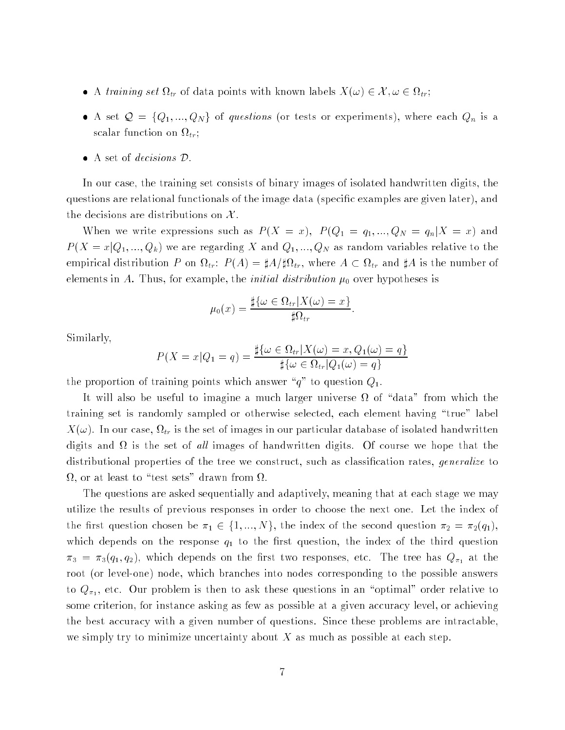- A training set only set that points with  $\alpha$  and the set of  $\alpha$  is  $\alpha$   $>$   $\alpha$  ;  $\alpha$
- A set  $\sim$  for  $\eta$  , and  $\eta$  of  $\eta$  of  $\eta$  of  $\eta$  or experiments or experiments), where each  $\eta$   $\eta$  is a set s calaret scalar function on  $\mathcal{L}_{\mathcal{L}}$
- 

In our case, the training set consists of binary images of isolated handwritten digits, the questions are relational functionals of the image data (specific examples are given later), and the decisions are distributions on  $\mathcal{X}$ .

When we write expressions such as P (X = x); P (Q1 <sup>=</sup> q1; :::; QN <sup>=</sup> qnjX <sup>=</sup> x) and  $P(X = x | Q_1, ..., Q_k)$  we are regarding X and  $Q_1, ..., Q_N$  as random variables relative to the empirical distribution  $P$  on  $\{f\}$  ,  $\{f\}$  ,  $\{f\}$  ,  $\{f\}$  , where  $\{f\}$  , where  $\{f\}$  is the number of  $\{f\}$ elements in A. Thus, for example, the initial distribution 0 over hypotheses is

$$
\mu_0(x) = \frac{\sharp\{\omega \in \Omega_{tr} | X(\omega) = x\}}{\sharp \Omega_{tr}}
$$

Similarly,

$$
P(X = x | Q_1 = q) = \frac{\sharp\{\omega \in \Omega_{tr} | X(\omega) = x, Q_1(\omega) = q\}}{\sharp\{\omega \in \Omega_{tr} | Q_1(\omega) = q\}}
$$

the proportion of training points which answer  $\alpha q$ " to question  $Q_1$ .

It will also be useful to imagine a much larger universe of \data" from which the training set is randomly sampled or otherwise selected, each element having \true" label tr is the set of in our case, in our case, is the set of in our particular database of in our particular databa and the set of all in the set of all interests of the set of the set of the set of the theory were well to the distributional properties of the tree we construct, such as classification rates, *generalize* to , or at least to \test sets" drawn from .

The questions are asked sequentially and adaptively, meaning that at each stage we may utilize the results of previous responses in order to choose the next one. Let the index of  $\frac{1}{2}$  for a function chosen be  $\frac{n_1}{2}$   $\subset$   $\frac{1}{2}$ ;  $\frac{1}{2}$ ;  $\frac{1}{2}$ ;  $\frac{1}{2}$ ;  $\frac{1}{2}$ ,  $\frac{1}{2}$ ,  $\frac{1}{2}$ ,  $\frac{1}{2}$ which depends on the response  $q_{1}$  to the index question, the induced of the third third question.  $\alpha$  and  $\alpha$  (q1; q2), which depends on the third two responses, etc. The tree has  $\Psi$ Al at the root (or level-one) node, which branches into nodes corresponding to the possible answers to  $\mathcal{N}$  ,  $\mathcal{N}$  , as the problem is there is the ask there  $\mathcal{N}$  and the anisotropic to an  $\mathcal{N}$ some criterion, for instance asking as few as possible at a given accuracy level, or achieving the best accuracy with a given number of questions. Since these problems are intractable, we simply try to minimize uncertainty about  $X$  as much as possible at each step.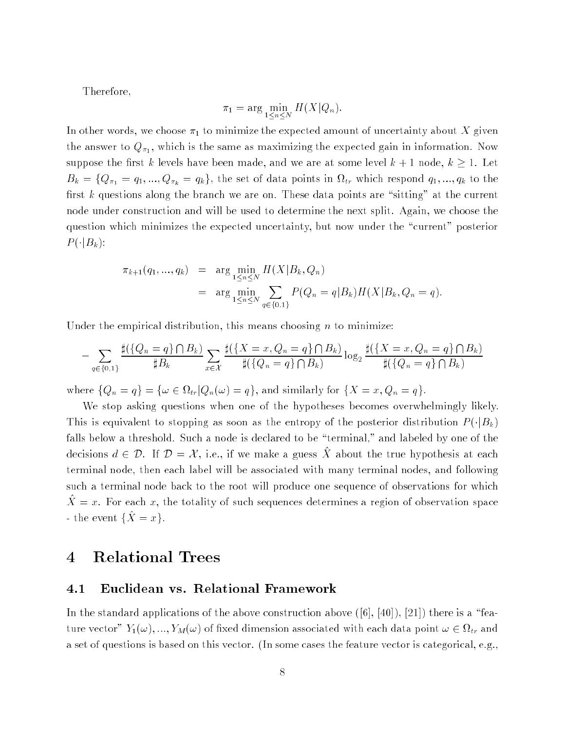Therefore,

$$
\pi_1 = \arg\min_{1 \le n \le N} H(X|Q_n).
$$

In other words, we choose 1 to minimize the expected amount of uncertainty about <sup>X</sup> given the answer to a  $\Lambda$ 1) , which is the same as maximizing the same as  $\Omega$  and as maximizing in it. suppose the first k levels have been made, and we are at some level  $k + 1$  node,  $k \ge 1$ . Let  $\mathbb{P}^n$  = fQ1;  $\mathbb{P}^n$ ;  $\mathbb{P}^n$  and  $\mathbb{P}^n$  in the set of the set of the set of the set of the set of the set of the set of the set of the set of the set of the set of the set of the set of the set of the set first k questions along the branch we are on. These data points are "sitting" at the current node under construction and will be used to determine the next split. Again, we choose the question which minimizes the expected uncertainty, but now under the \current" posterior  $P(\cdot|B_k):$ 

$$
\pi_{k+1}(q_1, ..., q_k) = \arg \min_{1 \le n \le N} H(X|B_k, Q_n)
$$
  
= 
$$
\arg \min_{1 \le n \le N} \sum_{q \in \{0,1\}} P(Q_n = q|B_k) H(X|B_k, Q_n = q).
$$

Under the empirical distribution, this means choosing  $n$  to minimize:

$$
- \sum_{q \in \{0,1\}} \frac{\sharp(\{Q_n = q\} \cap B_k)}{\sharp B_k} \sum_{x \in \mathcal{X}} \frac{\sharp(\{X = x, Q_n = q\} \cap B_k)}{\sharp(\{Q_n = q\} \cap B_k)} \log_2 \frac{\sharp(\{X = x, Q_n = q\} \cap B_k)}{\sharp(\{Q_n = q\} \cap B_k)}
$$

where for a finite  $\alpha$  is the function of finite form  $\alpha$  and  $\alpha$  and similar for finite for finite for  $\alpha$ 

We stop asking questions when one of the hypotheses becomes overwhelmingly likely. This is equivalent to stopping as soon as the entropy of the posterior distribution  $P(\cdot|B_k)$ falls below a threshold. Such a node is declared to be "terminal," and labeled by one of the decisions  $u \in \nu$ . If  $\nu = \alpha$ , i.e., if we make a guess  $\alpha$  about the true hypothesis at each terminal node, then each label will be associated with many terminal nodes, and following such a terminal node back to the root will produce one sequence of observations for which  $X = x$ . For each x, the totality of such sequences determines a region of observation space - the event  $\{\hat{X} = x\}.$ 

#### 4Relational Trees

#### 4.1 Euclidean vs. Relational Framework

In the standard applications of the above construction above  $([6], [40]), [21]$ ) there is a "feature vector  $\mathcal{I}(t_1,t_2)$  and  $\mathcal{M}(t_1,t_2)$  are contrary the societies with each dimension associated with  $\mathcal{I}(t_1,t_2)$  and a set of questions is based on this vector. (In some cases the feature vector is categorical, e.g.,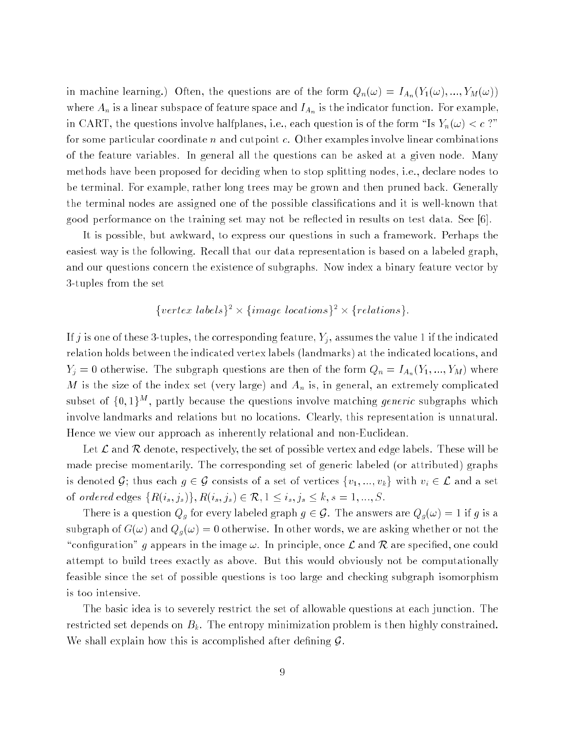in machine learning.) Often, the questions are of the form  $Q_n(\omega) = I_{A_n}(Y_1(\omega),...,Y_M(\omega))$ where  $A_n$  is a linear subspace of feature space and  $I_{A_n}$  is the indicator function. For example, in CART, the questions involve halfplanes, i.e., each question is of the form "Is  $Y_n(\omega) < c$  ?" for some particular coordinate n and cutpoint c. Other examples involve linear combinations of the feature variables. In general all the questions can be asked at a given node. Many methods have been proposed for deciding when to stop splitting nodes, i.e., declare nodes to be terminal. For example, rather long trees may be grown and then pruned back. Generally the terminal nodes are assigned one of the possible classications and it is well-known that good performance on the training set may not be reflected in results on test data. See  $[6]$ .

It is possible, but awkward, to express our questions in such a framework. Perhaps the easiest way is the following. Recall that our data representation is based on a labeled graph, and our questions concern the existence of subgraphs. Now index a binary feature vector by 3-tuples from the set

fvertex labelsg fimage locationsg frelationsg:

If j is one of these 3-tuples, the corresponding feature,  $Y_j$ , assumes the value 1 if the indicated relation holds between the indicated vertex labels (landmarks) at the indicated locations, and  $Y_j = 0$  otherwise. The subgraph questions are then of the form  $Q_n = I_{A_n}(Y_1, ..., Y_M)$  where M is the size of the index set (very large) and  $A_n$  is, in general, an extremely complicated subset of  $\{0,1\}$ , partly because the questions involve matching *generic* subgraphs which involve landmarks and relations but no locations. Clearly, this representation is unnatural. Hence we view our approach as inherently relational and non-Euclidean.

Let  $\mathcal L$  and  $\mathcal R$  denote, respectively, the set of possible vertex and edge labels. These will be made precise momentarily. The corresponding set of generic labeled (or attributed) graphs is denoted G; thus each  $g \in \mathcal{G}$  consists of a set of vertices  $\{v_1, ..., v_k\}$  with  $v_i \in \mathcal{L}$  and a set of ordered edges  $\{R(i_s, j_s)\}, R(i_s, j_s) \in \mathcal{R}, 1 \le i_s, j_s \le k, s = 1, ..., S.$ 

There is a question  $Q_g$  for every labeled graph  $g \in \mathcal{G}$ . The answers are  $Q_g(\omega) = 1$  if g is a subgraph of  $G(\omega)$  and  $Q_g(\omega) = 0$  otherwise. In other words, we are asking whether or not the "configuration" g appears in the image  $\omega$ . In principle, once  $\mathcal L$  and  $\mathcal R$  are specified, one could attempt to build trees exactly as above. But this would obviously not be computationally feasible since the set of possible questions is too large and checking subgraph isomorphism is too intensive.

The basic idea is to severely restrict the set of allowable questions at each junction. The restricted set depends on  $B_k$ . The entropy minimization problem is then highly constrained. We shall explain how this is accomplished after defining  $\mathcal{G}$ .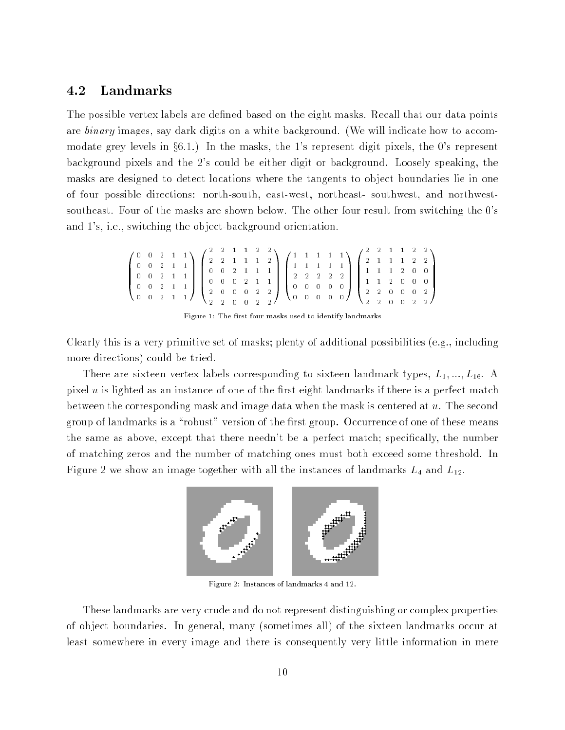### 4.2 Landmarks

The possible vertex labels are defined based on the eight masks. Recall that our data points are binary images, say dark digits on a white background. (We will indicate how to accommodate grey levels in  $\S6.1$ .) In the masks, the 1's represent digit pixels, the 0's represent background pixels and the 2's could be either digit or background. Loosely speaking, the masks are designed to detect locations where the tangents to ob ject boundaries lie in one of four possible directions: north-south, east-west, northeast- southwest, and northwestsoutheast. Four of the masks are shown below. The other four result from switching the 0's and 1's, i.e., switching the ob ject-background orientation.

$$
\begin{pmatrix} 0 & 0 & 2 & 1 & 1 \\ 0 & 0 & 2 & 1 & 1 \\ 0 & 0 & 2 & 1 & 1 \\ 0 & 0 & 2 & 1 & 1 \\ 0 & 0 & 2 & 1 & 1 \end{pmatrix} \begin{pmatrix} 2 & 2 & 1 & 1 & 2 & 2 \\ 2 & 2 & 1 & 1 & 1 & 2 \\ 0 & 0 & 2 & 1 & 1 & 1 \\ 0 & 0 & 0 & 2 & 1 & 1 \\ 2 & 0 & 0 & 0 & 2 & 2 \\ 2 & 2 & 0 & 0 & 2 & 2 \end{pmatrix} \begin{pmatrix} 1 & 1 & 1 & 1 & 1 \\ 1 & 1 & 1 & 1 & 1 \\ 2 & 2 & 2 & 2 & 2 \\ 0 & 0 & 0 & 0 & 0 \\ 0 & 0 & 0 & 0 & 0 \end{pmatrix} \begin{pmatrix} 2 & 2 & 1 & 1 & 2 & 2 \\ 2 & 1 & 1 & 1 & 2 & 2 \\ 1 & 1 & 1 & 2 & 0 & 0 \\ 1 & 1 & 1 & 2 & 0 & 0 \\ 2 & 2 & 0 & 0 & 0 & 2 \\ 2 & 2 & 0 & 0 & 0 & 2 \end{pmatrix}
$$

Figure 1: The first four masks used to identify landmarks

Clearly this is a very primitive set of masks; plenty of additional possibilities (e.g., including more directions) could be tried.

There are sixteen vertex labels corresponding to sixteen landmark types,  $L_1, ..., L_{16}$ . A pixel  $u$  is lighted as an instance of one of the first eight landmarks if there is a perfect match between the corresponding mask and image data when the mask is centered at  $u$ . The second group of landmarks is a "robust" version of the first group. Occurrence of one of these means the same as above, except that there needn't be a perfect match; specifically, the number of matching zeros and the number of matching ones must both exceed some threshold. In Figure 2 we show an image together with all the instances of landmarks L4 and L12.



Figure 2: Instances of landmarks 4 and 12.

These landmarks are very crude and do not represent distinguishing or complex properties of ob ject boundaries. In general, many (sometimes all) of the sixteen landmarks occur at least somewhere in every image and there is consequently very little information in mere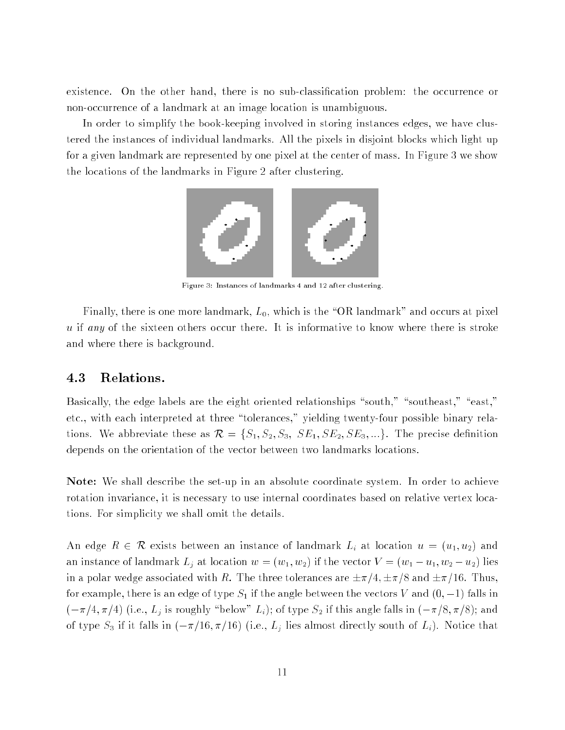existence. On the other hand, there is no sub-classication problem: the occurrence or non-occurrence of a landmark at an image location is unambiguous.

In order to simplify the book-keeping involved in storing instances edges, we have clustered the instances of individual landmarks. All the pixels in disjoint blocks which light up for a given landmark are represented by one pixel at the center of mass. In Figure 3 we show the locations of the landmarks in Figure 2 after clustering.



Figure 3: Instances of landmarks 4 and 12 after clustering.

Finally, there is one more landmark,  $L_0$ , which is the "OR landmark" and occurs at pixel u if any of the sixteen others occur there. It is informative to know where there is stroke and where there is background.

#### 4.3 Relations.

Basically, the edge labels are the eight oriented relationships "south," "southeast," "east," etc., with each interpreted at three \tolerances," yielding twenty-four possible binary relations. We abbreviate these as  $\mathcal{R} = \{S_1, S_2, S_3, SE_1, SE_2, SE_3, ...\}$ . The precise definition depends on the orientation of the vector between two landmarks locations.

Note: We shall describe the set-up in an absolute coordinate system. In order to achieve rotation invariance, it is necessary to use internal coordinates based on relative vertex locations. For simplicity we shall omit the details.

An edge  $R \in \mathcal{R}$  exists between an instance of landmark  $L_i$  at location  $u = (u_1, u_2)$  and an instance of landmark  $L_j$  at location  $w = (w_1, w_2)$  if the vector  $V = (w_1 - u_1, w_2 - u_2)$  lies in a polar wedge associated with R. The three tolerances are  $\pm \pi/4$ ,  $\pm \pi/8$  and  $\pm \pi/16$ . Thus, for example, there is an edge of type S1 if the angle between the vectors <sup>V</sup> and (0; 1) falls in  $(-\pi/4, \pi/4)$  (i.e.,  $L_j$  is roughly "below"  $L_i$ ); of type  $S_2$  if this angle falls in  $(-\pi/8, \pi/8)$ ; and of type S3 if it falls in (=16) (i.e., Lies) (i.e., Lies almost directly south of Li). Notice that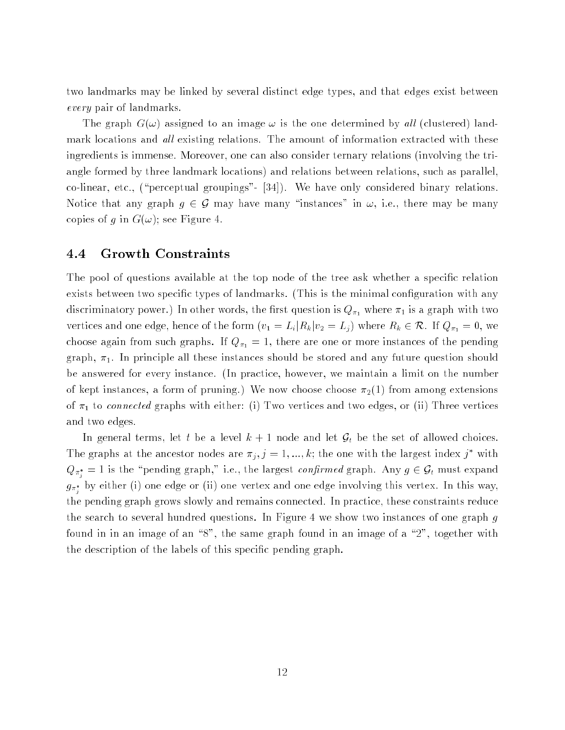two landmarks may be linked by several distinct edge types, and that edges exist between every pair of landmarks.

The graph  $G(\omega)$  assigned to an image  $\omega$  is the one determined by all (clustered) landmark locations and  $all$  existing relations. The amount of information extracted with these ingredients is immense. Moreover, one can also consider ternary relations (involving the triangle formed by three landmark locations) and relations between relations, such as parallel,  $\infty$ -linear, etc., ("perceptual groupings"- [34]). We have only considered binary relations. Notice that any graph  $g \in \mathcal{G}$  may have many "instances" in  $\omega$ , i.e., there may be many copies of g in  $G(\omega)$ ; see Figure 4.

#### 4.4 Growth Constraints

The pool of questions available at the top node of the tree ask whether a specific relation exists between two specific types of landmarks. (This is the minimal configuration with any discriminatory power.) In other words, the first question is  $Q_{\pi_1}$  where  $\pi_1$  is a graph with two vertices and one edge, hence of the form (ii  $\mathbb{Z}^2$  =  $\mathbb{Z}^2$ ) where ReV  $\in$  Ar. If  $\mathbb{Z}^2$   $\mathbb{Z}^2$ choose again from such graphs. If  $Q_{\pi_1} = 1$ , there are one or more instances of the pending graph,  $\pi_1$ . In principle all these instances should be stored and any future question should be answered for every instance. (In practice, however, we maintain a limit on the number of kept instances, a form of pruning.) We now choose choose  $\pi_2(1)$  from among extensions of 1 to connected graphs with either: (i) Two vertices and two edges, or (ii) Three vertices and two edges.

In general terms, let t be a level  $k + 1$  node and let  $\mathcal{G}_t$  be the set of allowed choices. The graphs at the ancestor nodes are  $\pi_j$ ,  $j = 1, ..., k$ ; the one with the largest index j with  $\mathcal{L}_{\mathcal{U}}$  and  $\mathcal{U}$  is the permutation of  $\mathcal{U}$  and  $\mathcal{U}$  are largest constructed graph. Any  $g \in \mathcal{Y}_l$  must expand <sup>j</sup>  $g_{\pi_i}$  by either (i) one edge or (ii) one vertex and one edge involving this vertex. In this way, the pending graph grows slowly and remains connected. In practice, these constraints reduce the search to several hundred questions. In Figure 4 we show two instances of one graph g found in in an image of an  $\degree 8"$ , the same graph found in an image of a  $\degree 2"$ , together with the description of the labels of this specic pending graph.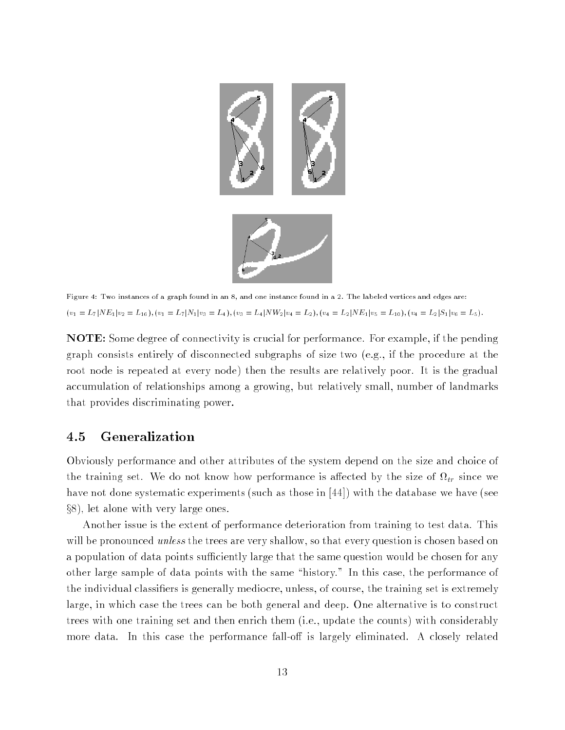

Figure 4: Two instances of a graph found in an 8, and one instance found in a 2. The labeled vertices and edges are:  $(v_1 = L_7 | NE_1| v_2 = L_1_6), (v_1 = L_7 | N_1| v_3 = L_4), (v_3 = L_4 | NW_2| v_4 = L_2), (v_4 = L_2 | NE_1| v_5 = L_1_0), (v_4 = L_2 | S_1| v_6 = L_5).$ 

NOTE: Some degree of connectivity is crucial for performance. For example, if the pending graph consists entirely of disconnected subgraphs of size two (e.g., if the procedure at the root node is repeated at every node) then the results are relatively poor. It is the gradual accumulation of relationships among a growing, but relatively small, number of landmarks that provides discriminating power.

#### 4.5 Generalization

Obviously performance and other attributes of the system depend on the size and choice of the training set. We do not know how performance is already the size of  $\eta$  sizes  $\eta$ have not done systematic experiments (such as those in [44]) with the database we have (see  $\S 8$ ), let alone with very large ones.

Another issue is the extent of performance deterioration from training to test data. This will be pronounced *unless* the trees are very shallow, so that every question is chosen based on a population of data points sufficiently large that the same question would be chosen for any other large sample of data points with the same "history." In this case, the performance of the individual classifiers is generally mediocre, unless, of course, the training set is extremely large, in which case the trees can be both general and deep. One alternative is to construct trees with one training set and then enrich them (i.e., update the counts) with considerably more data. In this case the performance fall-off is largely eliminated. A closely related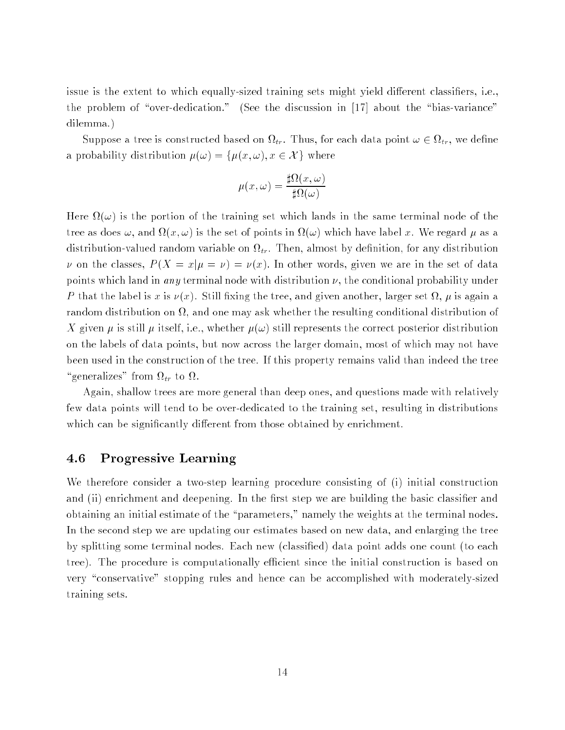issue is the extent to which equally-sized training sets might yield different classifiers, i.e., the problem of "over-dedication." (See the discussion in  $[17]$  about the "bias-variance" dilemma.)

suppose a tree is constructed and constructed the support on a second control point  $\epsilon$  . Thus, we define a probability distribution  $\mu(\omega) = {\mu(x, \omega), x \in \mathcal{X}}$  where

$$
\mu(x,\omega) = \frac{\sharp\Omega(x,\omega)}{\sharp\Omega(\omega)}
$$

Here (!) is the portion of the training set which lands in the same terminal node of the tree as does as does as a form in the set of points in the set of points in the set of the set  $\mu$  as as a distribution valued random value and valued on the style on the style matter of  $\mu$  at the style on the state of the state of the state of the state of the state of the state of the state of the state of the state of the v on the classes,  $P(X = x | \mu = \nu) = \nu(x)$ . In other words, given we are in the set of data points which land in any terminal node with distribution  $\nu$ , the conditional probability under  $\mathcal P$  that the label is  $\mathcal P$  is  $\mathcal P$  is a still the tree, and another, and  $\mathcal P$  is a stronger set  $\mathcal P$  , and  $\mathcal P$ random distribution on , and one may ask whether the resulting conditional distribution of X given  $\mu$  is still  $\mu$  itself, i.e., whether  $\mu(\omega)$  still represents the correct posterior distribution on the labels of data points, but now across the larger domain, most of which may not have been used in the construction of the tree. If this property remains valid than indeed the tree  $\gamma$  . The transition of the transition of  $\alpha$ 

Again, shallow trees are more general than deep ones, and questions made with relatively few data points will tend to be over-dedicated to the training set, resulting in distributions which can be significantly different from those obtained by enrichment.

#### 4.6 Progressive Learning

We therefore consider a two-step learning procedure consisting of (i) initial construction and (ii) enrichment and deepening. In the first step we are building the basic classifier and obtaining an initial estimate of the "parameters," namely the weights at the terminal nodes. In the second step we are updating our estimates based on new data, and enlarging the tree by splitting some terminal nodes. Each new (classied) data point adds one count (to each tree). The procedure is computationally efficient since the initial construction is based on very "conservative" stopping rules and hence can be accomplished with moderately-sized training sets.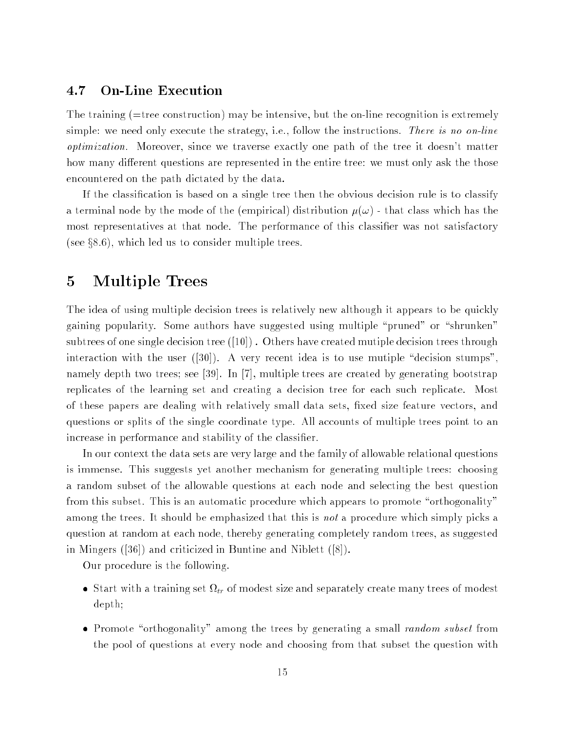### 4.7 On-Line Execution

The training (=tree construction) may be intensive, but the on-line recognition is extremely simple: we need only execute the strategy, i.e., follow the instructions. There is no on-line optimization. Moreover, since we traverse exactly one path of the tree it doesn't matter how many different questions are represented in the entire tree: we must only ask the those encountered on the path dictated by the data.

If the classification is based on a single tree then the obvious decision rule is to classify a terminal node by the mode of the (empirical) distribution  $\mu(\omega)$  - that class which has the most representatives at that node. The performance of this classier was not satisfactory (see  $\S 8.6$ ), which led us to consider multiple trees.

#### 5Multiple Trees

The idea of using multiple decision trees is relatively new although it appears to be quickly gaining popularity. Some authors have suggested using multiple "pruned" or "shrunken" subtrees of one single decision tree  $(10)$ . Others have created mutiple decision trees through interaction with the user  $([30])$ . A very recent idea is to use mutiple "decision stumps", namely depth two trees; see [39]. In [7], multiple trees are created by generating bootstrap replicates of the learning set and creating a decision tree for each such replicate. Most of these papers are dealing with relatively small data sets, fixed size feature vectors, and questions or splits of the single coordinate type. All accounts of multiple trees point to an increase in performance and stability of the classifier.

In our context the data sets are very large and the family of allowable relational questions is immense. This suggests yet another mechanism for generating multiple trees: choosing a random subset of the allowable questions at each node and selecting the best question from this subset. This is an automatic procedure which appears to promote "orthogonality" among the trees. It should be emphasized that this is not a procedure which simply picks a question at random at each node, thereby generating completely random trees, as suggested in Mingers ([36]) and criticized in Buntine and Niblett ([8]).

Our procedure is the following.

- Start with a training set tr of modest size and separately create many trees of modest depth;
- Promote \orthogonality" among the trees by generating a small random subset from the pool of questions at every node and choosing from that subset the question with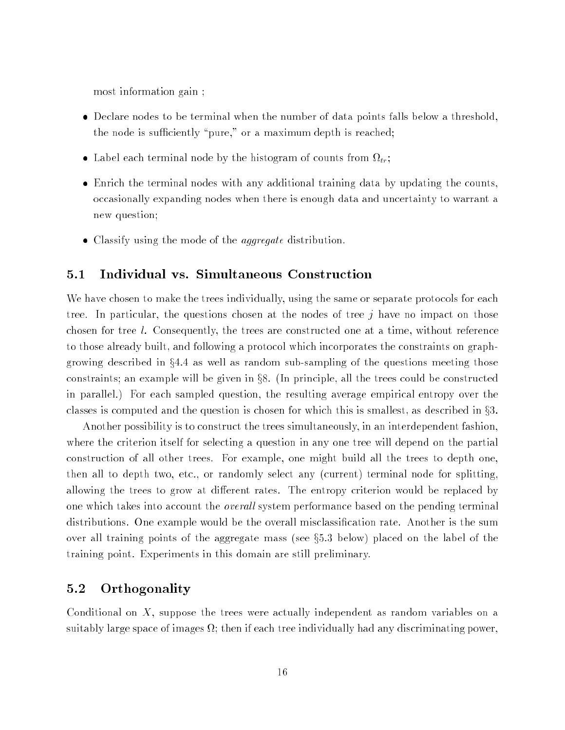most information gain ;

- Declare nodes to be terminal when the number of data points falls below a threshold, the node is sufficiently "pure," or a maximum depth is reached;
- Label extensive terminal nodes by the most density  $\alpha$  and  $\alpha$  counts from  $\alpha$
- Enrich the terminal nodes with any additional training data by updating the counts, occasionally expanding nodes when there is enough data and uncertainty to warrant a new question;
- Classify using the mode of the aggregate distribution.

We have chosen to make the trees individually, using the same or separate protocols for each tree. In particular, the questions chosen at the nodes of tree  $j$  have no impact on those chosen for tree l. Consequently, the trees are constructed one at a time, without reference to those already built, and following a protocol which incorporates the constraints on graphgrowing described in  $\S 4.4$  as well as random sub-sampling of the questions meeting those constraints; an example will be given in  $\S 8$ . (In principle, all the trees could be constructed in parallel.) For each sampled question, the resulting average empirical entropy over the classes is computed and the question is chosen for which this is smallest, as described in  $\S 3$ .

Another possibility is to construct the trees simultaneously, in an interdependent fashion, where the criterion itself for selecting a question in any one tree will depend on the partial construction of all other trees. For example, one might build all the trees to depth one, then all to depth two, etc., or randomly select any (current) terminal node for splitting, allowing the trees to grow at different rates. The entropy criterion would be replaced by one which takes into account the *overall* system performance based on the pending terminal distributions. One example would be the overall misclassification rate. Another is the sum over all training points of the aggregate mass (see  $\S5.3$  below) placed on the label of the training point. Experiments in this domain are still preliminary.

#### 5.2 Orthogonality

Conditional on  $X$ , suppose the trees were actually independent as random variables on a suitably large space of images ; then if each tree individually had any discriminating power,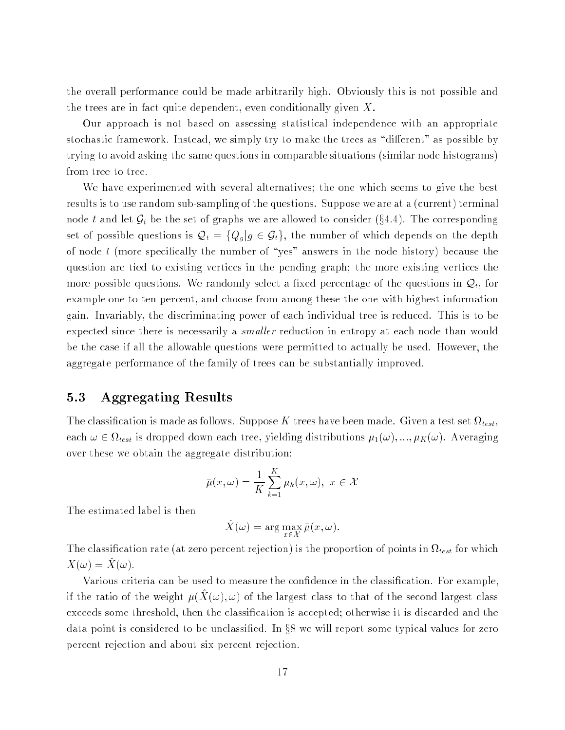the overall performance could be made arbitrarily high. Obviously this is not possible and the trees are in fact quite dependent, even conditionally given  $X$ .

Our approach is not based on assessing statistical independence with an appropriate stochastic framework. Instead, we simply try to make the trees as "different" as possible by trying to avoid asking the same questions in comparable situations (similar node histograms) from tree to tree.

We have experimented with several alternatives; the one which seems to give the best results is to use random sub-sampling of the questions. Suppose we are at a (current) terminal node t and let  $\mathcal{G}_t$  be the set of graphs we are allowed to consider (§4.4). The corresponding set of possible questions is  $\mathcal{Q}_t = \{Q_g | g \in \mathcal{G}_t\}$ , the number of which depends on the depth of node  $t$  (more specifically the number of "yes" answers in the node history) because the question are tied to existing vertices in the pending graph; the more existing vertices the more possible questions. We randomly select a fixed percentage of the questions in  $\mathcal{Q}_t$ , for example one to ten percent, and choose from among these the one with highest information gain. Invariably, the discriminating power of each individual tree is reduced. This is to be expected since there is necessarily a *smaller* reduction in entropy at each node than would be the case if all the allowable questions were permitted to actually be used. However, the aggregate performance of the family of trees can be substantially improved.

### 5.3 Aggregating Results

The classication is the classication in the computer of the test of the test test for the set  $\sim$  test, set  $\{000\}$ each  $\alpha$  2  $\alpha$  (2) is dropped down each tree, yielding distributions  $\mu_1$  (w );  $\mu_1$  (w );  $\alpha$  , and  $\alpha$ over these we obtain the aggregate distribution:

$$
\bar{\mu}(x,\omega) = \frac{1}{K} \sum_{k=1}^{K} \mu_k(x,\omega), \ x \in \mathcal{X}
$$

The estimated label is then

$$
\hat{X}(\omega) = \arg\max_{x \in \mathcal{X}} \bar{\mu}(x, \omega).
$$

the classication rate (at zero percent rejection) is the proportion of points in the points  $\alpha$  $\Lambda(\omega) = \Lambda(\omega).$ 

Various criteria can be used to measure the confidence in the classification. For example If the ratio of the weight  $\mu(X(\omega), \omega)$  of the largest class to that of the second largest class exceeds some threshold, then the classication is accepted; otherwise it is discarded and the data point is considered to be unclassified. In  $\S 8$  we will report some typical values for zero percent rejection and about six percent rejection.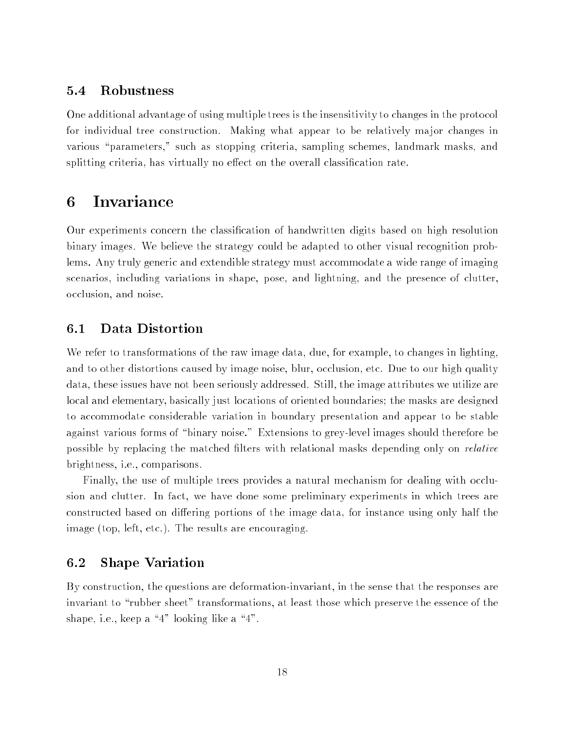### 5.4 Robustness

One additional advantage of using multiple trees is the insensitivity to changes in the protocol for individual tree construction. Making what appear to be relatively major changes in various "parameters," such as stopping criteria, sampling schemes, landmark masks, and splitting criteria, has virtually no effect on the overall classification rate.

#### Invariance 6

Our experiments concern the classification of handwritten digits based on high resolution binary images. We believe the strategy could be adapted to other visual recognition problems. Any truly generic and extendible strategy must accommodate a wide range of imaging scenarios, including variations in shape, pose, and lightning, and the presence of clutter, occlusion, and noise.

#### $6.1$ Data Distortion

We refer to transformations of the raw image data, due, for example, to changes in lighting, and to other distortions caused by image noise, blur, occlusion, etc. Due to our high quality data, these issues have not been seriously addressed. Still, the image attributes we utilize are local and elementary, basically just locations of oriented boundaries; the masks are designed to accommodate considerable variation in boundary presentation and appear to be stable against various forms of "binary noise." Extensions to grey-level images should therefore be possible by replacing the matched filters with relational masks depending only on *relative* brightness, i.e., comparisons.

Finally, the use of multiple trees provides a natural mechanism for dealing with occlusion and clutter. In fact, we have done some preliminary experiments in which trees are constructed based on differing portions of the image data, for instance using only half the image (top, left, etc.). The results are encouraging.

#### 6.2 Shape Variation

By construction, the questions are deformation-invariant, in the sense that the responses are invariant to "rubber sheet" transformations, at least those which preserve the essence of the shape, i.e., keep a  $4"$  looking like a  $4"$ .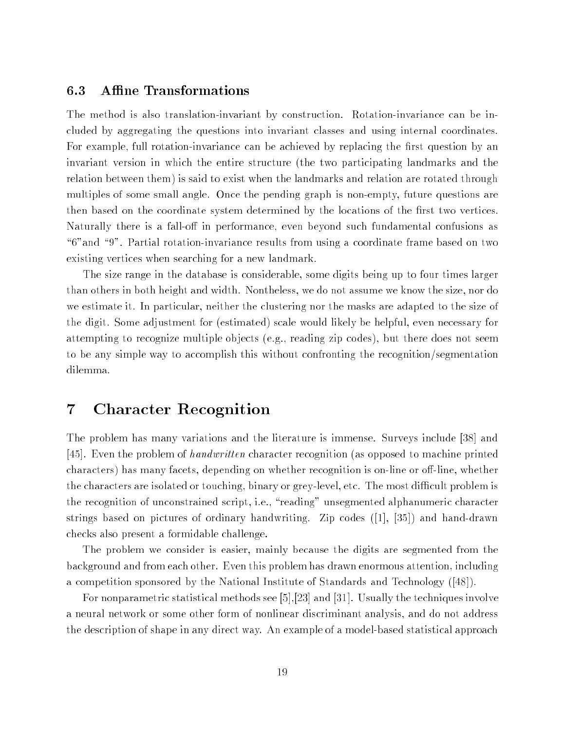### 6.3 Affine Transformations

The method is also translation-invariant by construction. Rotation-invariance can be included by aggregating the questions into invariant classes and using internal coordinates. For example, full rotation-invariance can be achieved by replacing the first question by an invariant version in which the entire structure (the two participating landmarks and the relation between them) is said to exist when the landmarks and relation are rotated through multiples of some small angle. Once the pending graph is non-empty, future questions are then based on the coordinate system determined by the locations of the first two vertices. Naturally there is a fall-off in performance, even beyond such fundamental confusions as "6" and "9". Partial rotation-invariance results from using a coordinate frame based on two existing vertices when searching for a new landmark.

The size range in the database is considerable, some digits being up to four times larger than others in both height and width. Nontheless, we do not assume we know the size, nor do we estimate it. In particular, neither the clustering nor the masks are adapted to the size of the digit. Some adjustment for (estimated) scale would likely be helpful, even necessary for attempting to recognize multiple ob jects (e.g., reading zip codes), but there does not seem to be any simple way to accomplish this without confronting the recognition/segmentation dilemma.

#### Character Recognition  $\overline{7}$

The problem has many variations and the literature is immense. Surveys include [38] and [45]. Even the problem of handwritten character recognition (as opposed to machine printed characters) has many facets, depending on whether recognition is on-line or off-line, whether the characters are isolated or touching, binary or grey-level, etc. The most difficult problem is the recognition of unconstrained script, i.e., "reading" unsegmented alphanumeric character strings based on pictures of ordinary handwriting. Zip codes ([1], [35]) and hand-drawn checks also present a formidable challenge.

The problem we consider is easier, mainly because the digits are segmented from the background and from each other. Even this problem has drawn enormous attention, including a competition sponsored by the National Institute of Standards and Technology ([48]).

For nonparametric statistical methods see [5],[23] and [31]. Usually the techniques involve a neural network or some other form of nonlinear discriminant analysis, and do not address the description of shape in any direct way. An example of a model-based statistical approach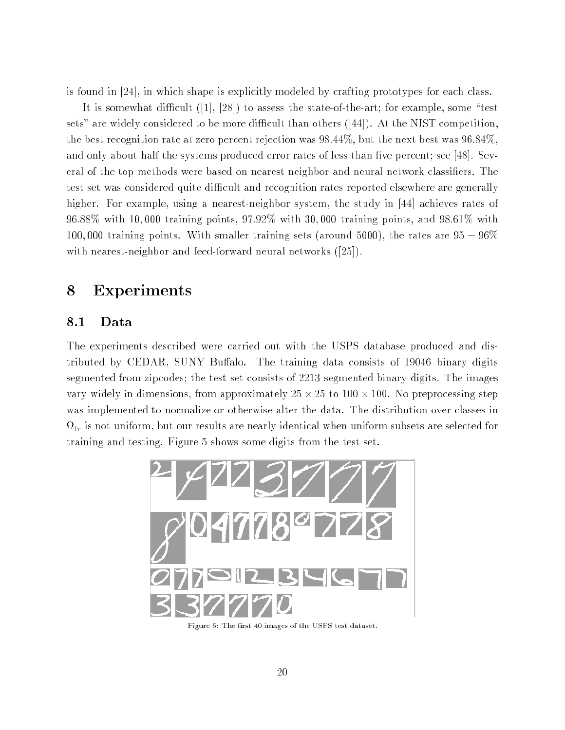is found in [24], in which shape is explicitly modeled by crafting prototypes for each class.

It is somewhat difficult  $([1], [28])$  to assess the state-of-the-art; for example, some "test sets" are widely considered to be more difficult than others  $([44])$ . At the NIST competition, the best recognition rate at zero percent rejection was 98:44%, but the next best was 96:84%, and only about half the systems produced error rates of less than five percent; see [48]. Several of the top methods were based on nearest neighbor and neural network classiers. The test set was considered quite difficult and recognition rates reported elsewhere are generally higher. For example, using a nearest-neighbor system, the study in [44] achieves rates of 96:88% with 10; 000 training points, 97:92% with 30; 000 training points, and 98:61% with 100,000 training points. With smaller training sets (around 5000), the rates are  $95 - 96\%$ with nearest-neighbor and feed-forward neural networks ([25]).

# Experiments

### 8.1 Data

The experiments described were carried out with the USPS database produced and distributed by CEDAR, SUNY Buffalo. The training data consists of 19046 binary digits segmented from zipcodes; the test set consists of 2213 segmented binary digits. The images vary widely in dimensions, from approximation, 25 to 25 to 25 to 25 to 25 proprocessing step was implemented to normalize or otherwise alter the data. The distribution over classes in tr is not uniform, but our results are nearly identical when uniform subsets are selected for training and testing. Figure 5 shows some digits from the test set.



Figure 5: The first 40 images of the USPS test dataset.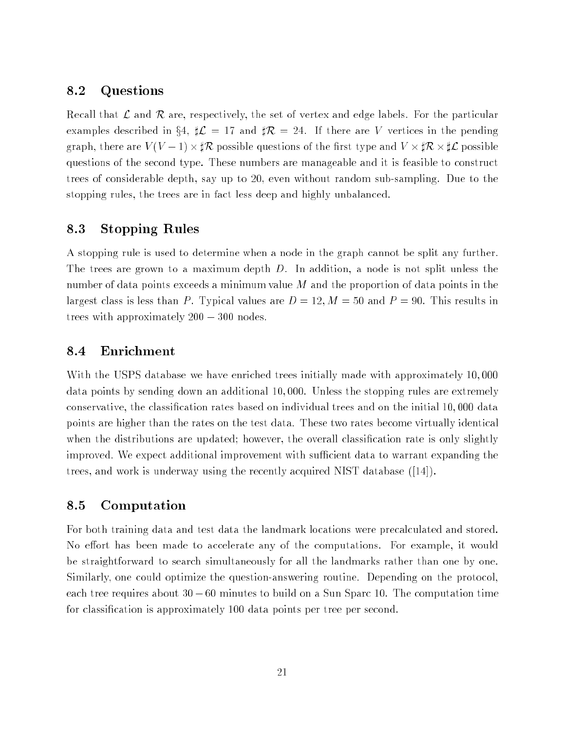### 8.2 Questions

Recall that  $\mathcal L$  and  $\mathcal R$  are, respectively, the set of vertex and edge labels. For the particular examples described in §4,  $\sharp \mathcal{L} = 17$  and  $\sharp \mathcal{R} = 24$ . If there are V vertices in the pending graphe, there are villege and villege processions of the theoretic control in the state of the processions of questions of the second type. These numbers are manageable and it is feasible to construct trees of considerable depth, say up to 20, even without random sub-sampling. Due to the stopping rules, the trees are in fact less deep and highly unbalanced.

### 8.3 Stopping Rules

A stopping rule is used to determine when a node in the graph cannot be split any further. The trees are grown to a maximum depth D. In addition, a node is not split unless the number of data points exceeds a minimum value  $M$  and the proportion of data points in the largest class is less than P. Typical values are  $D = 12, M = 50$  and  $P = 90$ . This results in trees with approximately  $200 - 300$  nodes.

### 8.4 Enrichment

With the USPS database we have enriched trees initially made with approximately 10; 000 data points by sending down an additional 10; 000. Unless the stopping rules are extremely conservative, the classication rates based on individual trees and on the initial 10; 000 data points are higher than the rates on the test data. These two rates become virtually identical when the distributions are updated; however, the overall classification rate is only slightly improved. We expect additional improvement with sufficient data to warrant expanding the trees, and work is underway using the recently acquired NIST database ([14]).

#### 8.5 Computation

For both training data and test data the landmark locations were precalculated and stored. No effort has been made to accelerate any of the computations. For example, it would be straightforward to search simultaneously for all the landmarks rather than one by one. Similarly, one could optimize the question-answering routine. Depending on the protocol, each tree requires about  $30 - 60$  minutes to build on a Sun Sparc 10. The computation time for classication is approximately 100 data points per tree per second.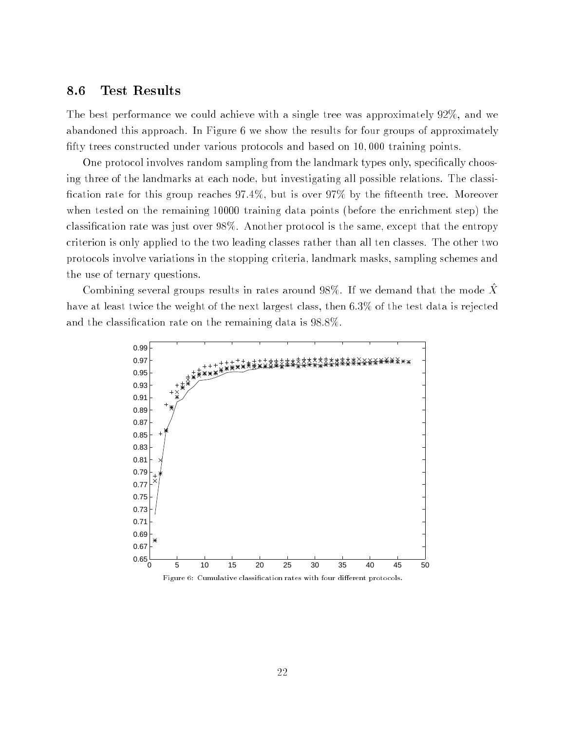#### 8.6 Test Results

The best performance we could achieve with a single tree was approximately 92%, and we abandoned this approach. In Figure 6 we show the results for four groups of approximately fifty trees constructed under various protocols and based on 10,000 training points.

One protocol involves random sampling from the landmark types only, specifically choosing three of the landmarks at each node, but investigating all possible relations. The classi fication rate for this group reaches  $97.4\%$ , but is over  $97\%$  by the fifteenth tree. Moreover when tested on the remaining 10000 training data points (before the enrichment step) the classication rate was just over 98%. Another protocol is the same, except that the entropy criterion is only applied to the two leading classes rather than all ten classes. The other two protocols involve variations in the stopping criteria, landmark masks, sampling schemes and the use of ternary questions.

Combining several groups results in rates around 98%. If we demand that the mode  $\ddot{X}$ have at least twice the weight of the next largest class, then 6:3% of the test data is rejected and the classification rate on the remaining data is  $98.8\%$ .

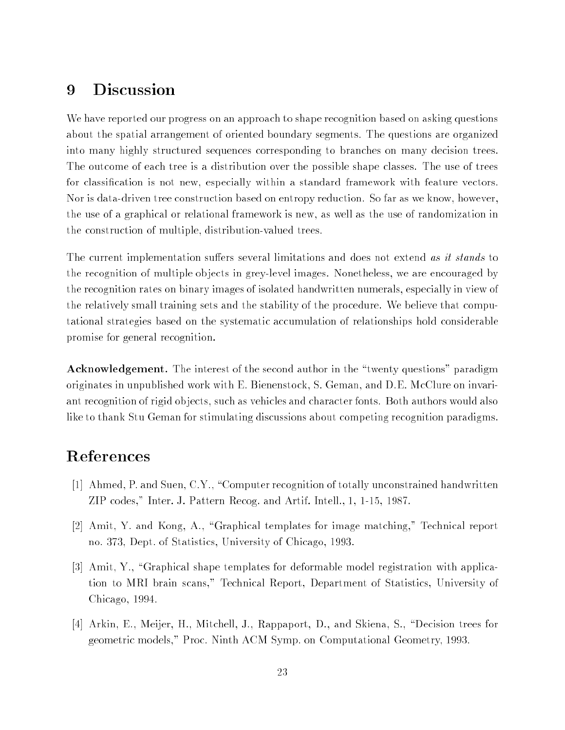#### Discussion 9

We have reported our progress on an approach to shape recognition based on asking questions about the spatial arrangement of oriented boundary segments. The questions are organized into many highly structured sequences corresponding to branches on many decision trees. The outcome of each tree is a distribution over the possible shape classes. The use of trees for classification is not new, especially within a standard framework with feature vectors. Nor is data-driven tree construction based on entropy reduction. So far as we know, however, the use of a graphical or relational framework is new, as well as the use of randomization in the construction of multiple, distribution-valued trees.

The current implementation suffers several limitations and does not extend as it stands to the recognition of multiple ob jects in grey-level images. Nonetheless, we are encouraged by the recognition rates on binary images of isolated handwritten numerals, especially in view of the relatively small training sets and the stability of the procedure. We believe that computational strategies based on the systematic accumulation of relationships hold considerable promise for general recognition.

**Acknowledgement.** The interest of the second author in the "twenty questions" paradigm originates in unpublished work with E. Bienenstock, S. Geman, and D.E. McClure on invariant recognition of rigid ob jects, such as vehicles and character fonts. Both authors would also like to thank Stu Geman for stimulating discussions about competing recognition paradigms.

- [1] Ahmed, P. and Suen, C.Y., \Computer recognition of totally unconstrained handwritten ZIP codes," Inter. J. Pattern Recog. and Artif. Intell., 1, 1-15, 1987.
- [2] Amit, Y. and Kong, A., \Graphical templates for image matching," Technical report no. 373, Dept. of Statistics, University of Chicago, 1993.
- [3] Amit, Y., "Graphical shape templates for deformable model registration with application to MRI brain scans," Technical Report, Department of Statistics, University of Chicago, 1994.
- [4] Arkin, E., Meijer, H., Mitchell, J., Rappaport, D., and Skiena, S., "Decision trees for geometric models," Proc. Ninth ACM Symp. on Computational Geometry, 1993.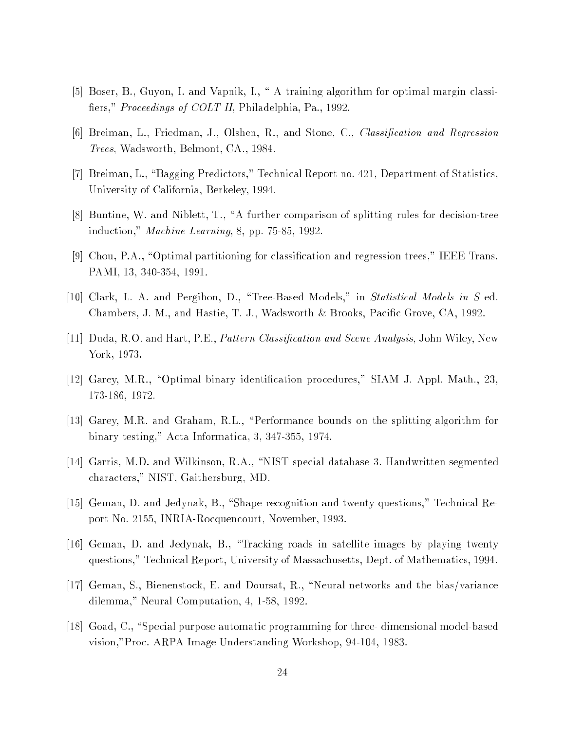- [5] Boser, B., Guyon, I. and Vapnik, I., " A training algorithm for optimal margin classifiers," *Proceedings of COLT II*, Philadelphia, Pa., 1992.
- [6] Breiman, L., Friedman, J., Olshen, R., and Stone, C., Classication and Regression Trees, Wadsworth, Belmont, CA., 1984.
- [7] Breiman, L., "Bagging Predictors," Technical Report no. 421, Department of Statistics, University of California, Berkeley, 1994.
- [8] Buntine, W. and Niblett, T., \A further comparison of splitting rules for decision-tree induction," Machine Learning, 8, pp. 75-85, 1992.
- [9] Chou, P.A., "Optimal partitioning for classification and regression trees," IEEE Trans. PAMI, 13, 340-354, 1991.
- [10] Clark, L. A. and Pergibon, D., "Tree-Based Models," in *Statistical Models in S* ed. Chambers, J. M., and Hastie, T. J., Wadsworth & Brooks, Pacific Grove, CA, 1992.
- [11] Duda, R.O. and Hart, P.E., *Pattern Classification and Scene Analysis*, John Wiley, New York, 1973.
- [12] Garey, M.R., "Optimal binary identification procedures," SIAM J. Appl. Math., 23, 173-186, 1972.
- [13] Garey, M.R. and Graham, R.L., "Performance bounds on the splitting algorithm for binary testing," Acta Informatica, 3, 347-355, 1974.
- [14] Garris, M.D. and Wilkinson, R.A., \NIST special database 3. Handwritten segmented characters," NIST, Gaithersburg, MD.
- [15] Geman, D. and Jedynak, B., "Shape recognition and twenty questions," Technical Report No. 2155, INRIA-Rocquencourt, November, 1993.
- [16] Geman, D. and Jedynak, B., \Tracking roads in satellite images by playing twenty questions," Technical Report, University of Massachusetts, Dept. of Mathematics, 1994.
- [17] Geman, S., Bienenstock, E. and Doursat, R., \Neural networks and the bias/variance dilemma," Neural Computation, 4, 1-58, 1992.
- [18] Goad, C., "Special purpose automatic programming for three- dimensional model-based vision,"Proc. ARPA Image Understanding Workshop, 94-104, 1983.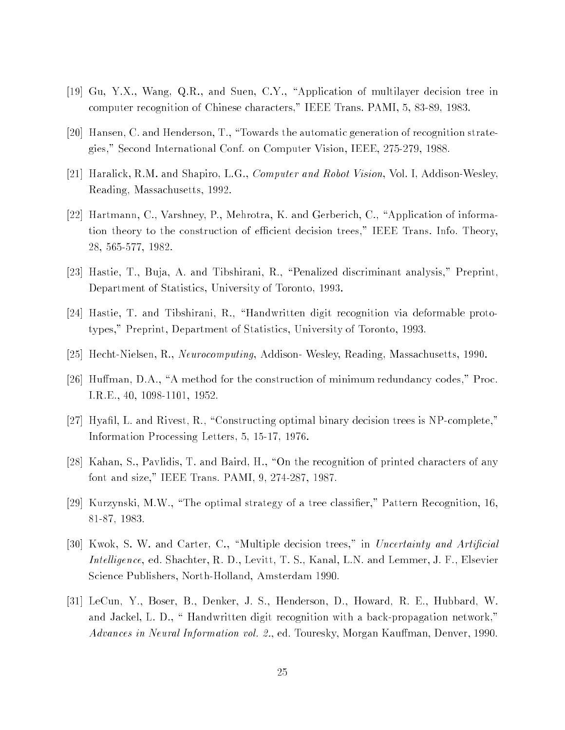- [19] Gu, Y.X., Wang, Q.R., and Suen, C.Y., \Application of multilayer decision tree in computer recognition of Chinese characters," IEEE Trans. PAMI, 5, 83-89, 1983.
- [20] Hansen, C. and Henderson, T., "Towards the automatic generation of recognition strategies," Second International Conf. on Computer Vision, IEEE, 275-279, 1988.
- [21] Haralick, R.M. and Shapiro, L.G., Computer and Robot Vision, Vol. I, Addison-Wesley, Reading, Massachusetts, 1992.
- [22] Hartmann, C., Varshney, P., Mehrotra, K. and Gerberich, C., "Application of information theory to the construction of efficient decision trees," IEEE Trans. Info. Theory, 28, 565-577, 1982.
- [23] Hastie, T., Buja, A. and Tibshirani, R., "Penalized discriminant analysis," Preprint, Department of Statistics, University of Toronto, 1993.
- [24] Hastie, T. and Tibshirani, R., \Handwritten digit recognition via deformable prototypes," Preprint, Department of Statistics, University of Toronto, 1993.
- [25] Hecht-Nielsen, R., Neurocomputing, Addison- Wesley, Reading, Massachusetts, 1990.
- [26] Human, D.A., \A method for the construction of minimum redundancy codes," Proc. I.R.E., 40, 1098-1101, 1952.
- [27] Hyafil, L. and Rivest, R., "Constructing optimal binary decision trees is NP-complete," Information Processing Letters, 5, 15-17, 1976.
- [28] Kahan, S., Pavlidis, T. and Baird, H., \On the recognition of printed characters of any font and size," IEEE Trans. PAMI, 9, 274-287, 1987.
- [29] Kurzynski, M.W., \The optimal strategy of a tree classier," Pattern Recognition, 16, 81-87, 1983.
- [30] Kwok, S. W. and Carter, C., "Multiple decision trees," in Uncertainty and Artificial Intelligence, ed. Shachter, R. D., Levitt, T. S., Kanal, L.N. and Lemmer, J. F., Elsevier Science Publishers, North-Holland, Amsterdam 1990.
- [31] LeCun, Y., Boser, B., Denker, J. S., Henderson, D., Howard, R. E., Hubbard, W. and Jackel, L. D., "Handwritten digit recognition with a back-propagation network," Advances in Neural Information vol. 2., ed. Touresky, Morgan Kauffman, Denver, 1990.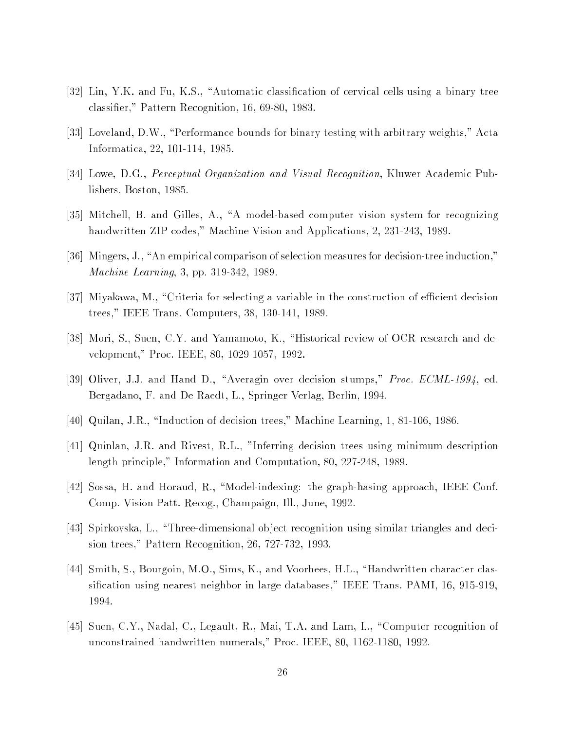- [32] Lin, Y.K. and Fu, K.S., "Automatic classification of cervical cells using a binary tree classier," Pattern Recognition, 16, 69-80, 1983.
- [33] Loveland, D.W., "Performance bounds for binary testing with arbitrary weights," Acta Informatica, 22, 101-114, 1985.
- [34] Lowe, D.G., Perceptual Organization and Visual Recognition, Kluwer Academic Publishers, Boston, 1985.
- [35] Mitchell, B. and Gilles, A., \A model-based computer vision system for recognizing handwritten ZIP codes," Machine Vision and Applications, 2, 231-243, 1989.
- [36] Mingers, J., "An empirical comparison of selection measures for decision-tree induction," Machine Learning, 3, pp. 319-342, 1989.
- $[37]$  Miyakawa, M., "Criteria for selecting a variable in the construction of efficient decision trees," IEEE Trans. Computers, 38, 130-141, 1989.
- [38] Mori, S., Suen, C.Y. and Yamamoto, K., "Historical review of OCR research and development," Proc. IEEE, 80, 1029-1057, 1992.
- [39] Oliver, J.J. and Hand D., "Averagin over decision stumps," Proc. ECML-1994, ed. Bergadano, F. and De Raedt, L., Springer Verlag, Berlin, 1994.
- [40] Quilan, J.R., \Induction of decision trees," Machine Learning, 1, 81-106, 1986.
- [41] Quinlan, J.R. and Rivest, R.L., "Inferring decision trees using minimum description length principle," Information and Computation, 80, 227-248, 1989.
- [42] Sossa, H. and Horaud, R., \Model-indexing: the graph-hasing approach, IEEE Conf. Comp. Vision Patt. Recog., Champaign, Ill., June, 1992.
- [43] Spirkovska, L., \Three-dimensional ob ject recognition using similar triangles and decision trees," Pattern Recognition, 26, 727-732, 1993.
- [44] Smith, S., Bourgoin, M.O., Sims, K., and Voorhees, H.L., \Handwritten character classication using nearest neighbor in large databases," IEEE Trans. PAMI, 16, 915-919, 1994.
- [45] Suen, C.Y., Nadal, C., Legault, R., Mai, T.A. and Lam, L., \Computer recognition of unconstrained handwritten numerals," Proc. IEEE, 80, 1162-1180, 1992.